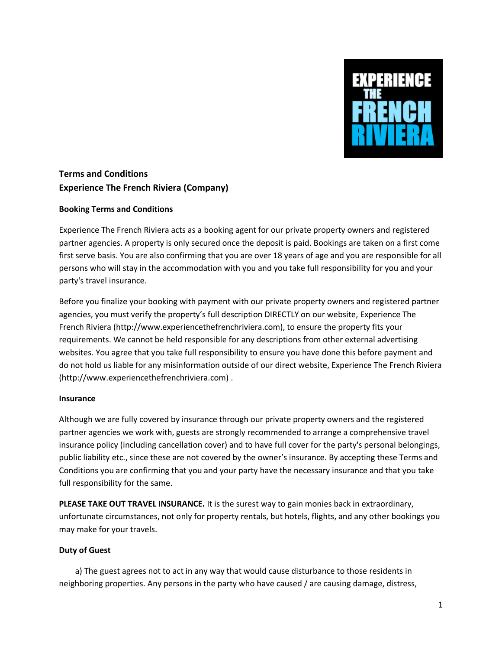

# **Terms and Conditions Experience The French Riviera (Company)**

## **Booking Terms and Conditions**

Experience The French Riviera acts as a booking agent for our private property owners and registered partner agencies. A property is only secured once the deposit is paid. Bookings are taken on a first come first serve basis. You are also confirming that you are over 18 years of age and you are responsible for all persons who will stay in the accommodation with you and you take full responsibility for you and your party's travel insurance.

Before you finalize your booking with payment with our private property owners and registered partner agencies, you must verify the property's full description DIRECTLY on our website, Experience The French Riviera (http://www.experiencethefrenchriviera.com), to ensure the property fits your requirements. We cannot be held responsible for any descriptions from other external advertising websites. You agree that you take full responsibility to ensure you have done this before payment and do not hold us liable for any misinformation outside of our direct website, Experience The French Riviera (http://www.experiencethefrenchriviera.com) .

## **Insurance**

Although we are fully covered by insurance through our private property owners and the registered partner agencies we work with, guests are strongly recommended to arrange a comprehensive travel insurance policy (including cancellation cover) and to have full cover for the party's personal belongings, public liability etc., since these are not covered by the owner's insurance. By accepting these Terms and Conditions you are confirming that you and your party have the necessary insurance and that you take full responsibility for the same.

**PLEASE TAKE OUT TRAVEL INSURANCE.** It is the surest way to gain monies back in extraordinary, unfortunate circumstances, not only for property rentals, but hotels, flights, and any other bookings you may make for your travels.

## **Duty of Guest**

 a) The guest agrees not to act in any way that would cause disturbance to those residents in neighboring properties. Any persons in the party who have caused / are causing damage, distress,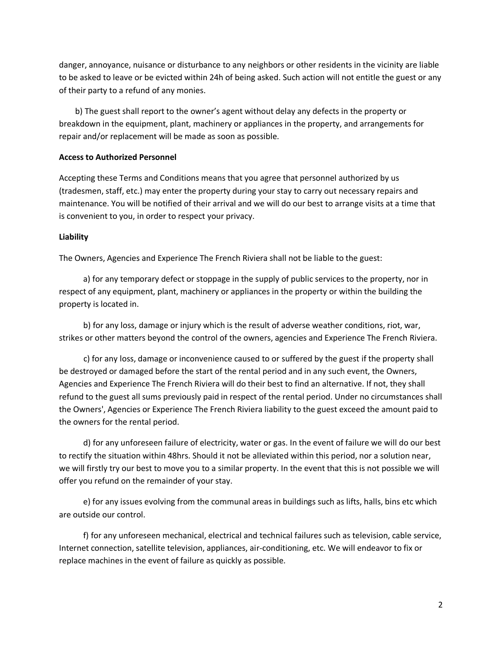danger, annoyance, nuisance or disturbance to any neighbors or other residents in the vicinity are liable to be asked to leave or be evicted within 24h of being asked. Such action will not entitle the guest or any of their party to a refund of any monies.

 b) The guest shall report to the owner's agent without delay any defects in the property or breakdown in the equipment, plant, machinery or appliances in the property, and arrangements for repair and/or replacement will be made as soon as possible.

#### **Access to Authorized Personnel**

Accepting these Terms and Conditions means that you agree that personnel authorized by us (tradesmen, staff, etc.) may enter the property during your stay to carry out necessary repairs and maintenance. You will be notified of their arrival and we will do our best to arrange visits at a time that is convenient to you, in order to respect your privacy.

#### **Liability**

The Owners, Agencies and Experience The French Riviera shall not be liable to the guest:

 a) for any temporary defect or stoppage in the supply of public services to the property, nor in respect of any equipment, plant, machinery or appliances in the property or within the building the property is located in.

 b) for any loss, damage or injury which is the result of adverse weather conditions, riot, war, strikes or other matters beyond the control of the owners, agencies and Experience The French Riviera.

 c) for any loss, damage or inconvenience caused to or suffered by the guest if the property shall be destroyed or damaged before the start of the rental period and in any such event, the Owners, Agencies and Experience The French Riviera will do their best to find an alternative. If not, they shall refund to the guest all sums previously paid in respect of the rental period. Under no circumstances shall the Owners', Agencies or Experience The French Riviera liability to the guest exceed the amount paid to the owners for the rental period.

 d) for any unforeseen failure of electricity, water or gas. In the event of failure we will do our best to rectify the situation within 48hrs. Should it not be alleviated within this period, nor a solution near, we will firstly try our best to move you to a similar property. In the event that this is not possible we will offer you refund on the remainder of your stay.

 e) for any issues evolving from the communal areas in buildings such as lifts, halls, bins etc which are outside our control.

 f) for any unforeseen mechanical, electrical and technical failures such as television, cable service, Internet connection, satellite television, appliances, air-conditioning, etc. We will endeavor to fix or replace machines in the event of failure as quickly as possible.